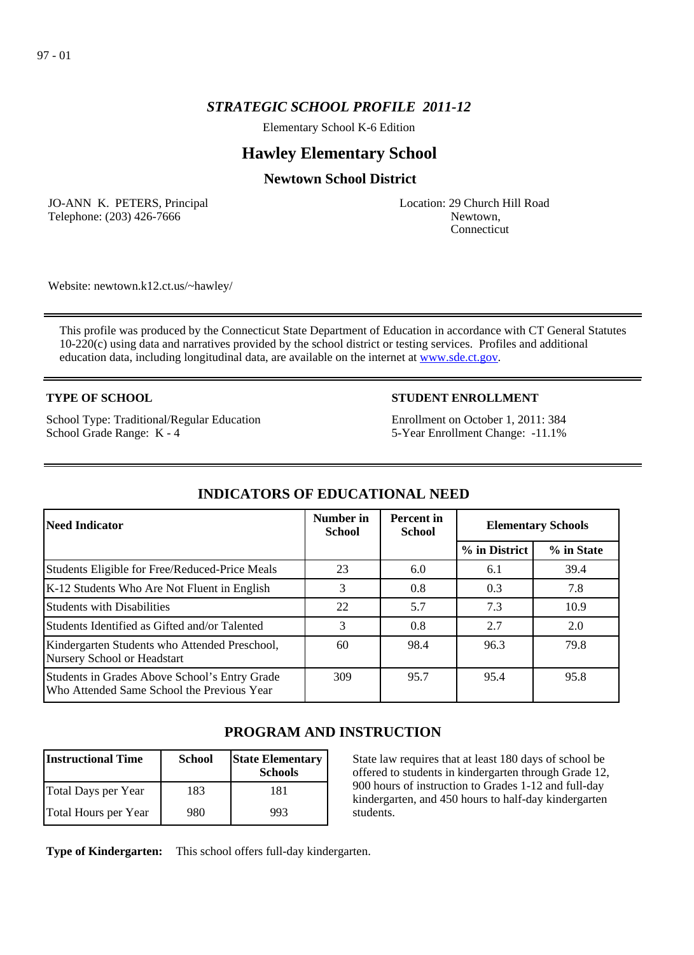# *STRATEGIC SCHOOL PROFILE 2011-12*

Elementary School K-6 Edition

# **Hawley Elementary School**

# **Newtown School District**

JO-ANN K. PETERS, Principal Telephone: (203) 426-7666

Location: 29 Church Hill Road Newtown, Connecticut

Website: newtown.k12.ct.us/~hawley/

This profile was produced by the Connecticut State Department of Education in accordance with CT General Statutes 10-220(c) using data and narratives provided by the school district or testing services. Profiles and additional education data, including longitudinal data, are available on the internet at [www.sde.ct.gov](http://www.sde.ct.gov/).

## **TYPE OF SCHOOL**

School Type: Traditional/Regular Education School Grade Range: K - 4

# **STUDENT ENROLLMENT**

Enrollment on October 1, 2011: 384 5-Year Enrollment Change: -11.1%

| Need Indicator                                                                              | Number in<br><b>School</b> | <b>Percent</b> in<br><b>School</b> | <b>Elementary Schools</b> |            |
|---------------------------------------------------------------------------------------------|----------------------------|------------------------------------|---------------------------|------------|
|                                                                                             |                            |                                    | % in District             | % in State |
| Students Eligible for Free/Reduced-Price Meals                                              | 23                         | 6.0                                | 6.1                       | 39.4       |
| K-12 Students Who Are Not Fluent in English                                                 | 3                          | 0.8                                | 0.3                       | 7.8        |
| Students with Disabilities                                                                  | 22                         | 5.7                                | 7.3                       | 10.9       |
| Students Identified as Gifted and/or Talented                                               | 3                          | 0.8                                | 2.7                       | 2.0        |
| Kindergarten Students who Attended Preschool,<br>Nursery School or Headstart                | 60                         | 98.4                               | 96.3                      | 79.8       |
| Students in Grades Above School's Entry Grade<br>Who Attended Same School the Previous Year | 309                        | 95.7                               | 95.4                      | 95.8       |

# **INDICATORS OF EDUCATIONAL NEED**

# **PROGRAM AND INSTRUCTION**

| Instructional Time   | <b>School</b> | <b>State Elementary</b><br><b>Schools</b> |
|----------------------|---------------|-------------------------------------------|
| Total Days per Year  | 183           | 181                                       |
| Total Hours per Year | 980           | 993                                       |

State law requires that at least 180 days of school be offered to students in kindergarten through Grade 12, 900 hours of instruction to Grades 1-12 and full-day kindergarten, and 450 hours to half-day kindergarten students.

**Type of Kindergarten:**  This school offers full-day kindergarten.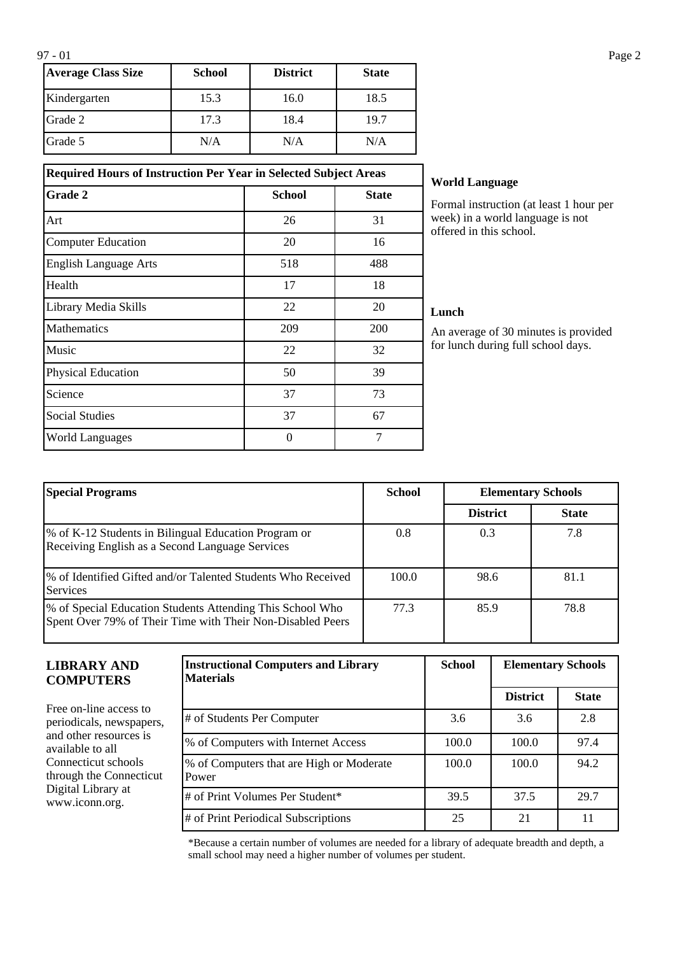| <b>Average Class Size</b> | <b>School</b> | <b>District</b> | <b>State</b> |
|---------------------------|---------------|-----------------|--------------|
| Kindergarten              | 15.3          | 16.0            | 18.5         |
| Grade 2                   | 17.3          | 18.4            | 19.7         |
| Grade 5                   | N/A           | N/A             | N/A          |

## **Required Hours of Instruction Per Year in Selected Subject Areas**

| Grade 2                      | <b>School</b> | <b>State</b> |
|------------------------------|---------------|--------------|
| Art                          | 26            | 31           |
| <b>Computer Education</b>    | 20            | 16           |
| <b>English Language Arts</b> | 518           | 488          |
| Health                       | 17            | 18           |
| Library Media Skills         | 22            | 20           |
| Mathematics                  | 209           | 200          |
| Music                        | 22            | 32           |
| <b>Physical Education</b>    | 50            | 39           |
| Science                      | 37            | 73           |
| <b>Social Studies</b>        | 37            | 67           |
| <b>World Languages</b>       | $\theta$      | 7            |

### **World Language**

Formal instruction (at least 1 hour per week) in a world language is not offered in this school.

### **Lunch**

An average of 30 minutes is provided for lunch during full school days.

| <b>Special Programs</b>                                                                                                  | <b>School</b> | <b>Elementary Schools</b> |              |
|--------------------------------------------------------------------------------------------------------------------------|---------------|---------------------------|--------------|
|                                                                                                                          |               | <b>District</b>           | <b>State</b> |
| \% of K-12 Students in Bilingual Education Program or<br>Receiving English as a Second Language Services                 | 0.8           | 0.3                       | 7.8          |
| 1% of Identified Gifted and/or Talented Students Who Received<br><b>Services</b>                                         | 100.0         | 98.6                      | 81.1         |
| \% of Special Education Students Attending This School Who<br>Spent Over 79% of Their Time with Their Non-Disabled Peers | 77.3          | 85.9                      | 78.8         |

### **LIBRARY AND COMPUTERS**

Free on-line access to periodicals, newspapers, and other resources is available to all Connecticut schools through the Connecticut Digital Library at www.iconn.org.

| <b>Instructional Computers and Library</b><br><b>Materials</b> | <b>School</b><br><b>Elementary Schools</b> |                 |              |
|----------------------------------------------------------------|--------------------------------------------|-----------------|--------------|
|                                                                |                                            | <b>District</b> | <b>State</b> |
| # of Students Per Computer                                     | 3.6                                        | 3.6             | 2.8          |
| % of Computers with Internet Access                            | 100.0                                      | 100.0           | 97.4         |
| % of Computers that are High or Moderate<br>Power              | 100.0                                      | 100.0           | 94.2         |
| # of Print Volumes Per Student*                                | 39.5                                       | 37.5            | 29.7         |
| # of Print Periodical Subscriptions                            | 25                                         | 21              | 11           |

\*Because a certain number of volumes are needed for a library of adequate breadth and depth, a small school may need a higher number of volumes per student.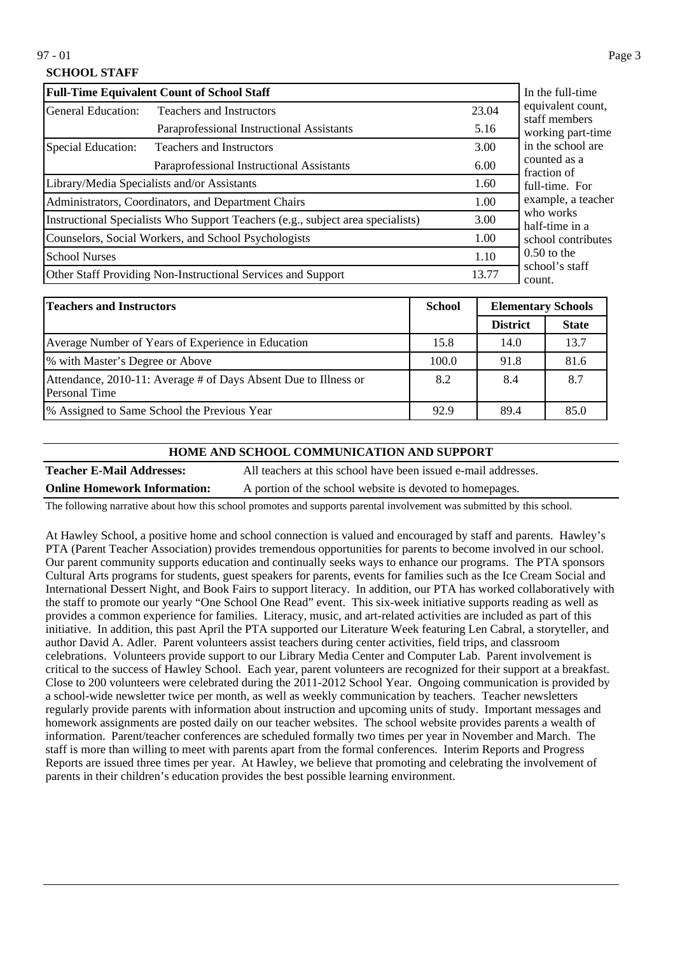# **SCHOOL STAFF**

| <b>Full-Time Equivalent Count of School Staff</b>                               | In the full-time                                     |                             |                                    |
|---------------------------------------------------------------------------------|------------------------------------------------------|-----------------------------|------------------------------------|
| General Education:                                                              | <b>Teachers and Instructors</b>                      | 23.04                       | equivalent count,<br>staff members |
|                                                                                 | Paraprofessional Instructional Assistants            | 5.16                        | working part-time                  |
| Special Education:                                                              | <b>Teachers and Instructors</b>                      | 3.00                        | in the school are                  |
|                                                                                 | 6.00                                                 | counted as a<br>fraction of |                                    |
|                                                                                 | Library/Media Specialists and/or Assistants          | 1.60                        | full-time. For                     |
|                                                                                 | Administrators, Coordinators, and Department Chairs  | 1.00                        | example, a teacher                 |
| Instructional Specialists Who Support Teachers (e.g., subject area specialists) | 3.00                                                 | who works<br>half-time in a |                                    |
|                                                                                 | Counselors, Social Workers, and School Psychologists | 1.00                        | school contributes                 |
| <b>School Nurses</b>                                                            | 1.10                                                 | $0.50$ to the               |                                    |
| Other Staff Providing Non-Instructional Services and Support                    | 13.77                                                | school's staff<br>count.    |                                    |

| <b>Teachers and Instructors</b>                                                  | <b>School</b> | <b>Elementary Schools</b> |              |
|----------------------------------------------------------------------------------|---------------|---------------------------|--------------|
|                                                                                  |               | <b>District</b>           | <b>State</b> |
| Average Number of Years of Experience in Education                               | 15.8          | 14.0                      | 13.7         |
| % with Master's Degree or Above                                                  | 100.0         | 91.8                      | 81.6         |
| Attendance, 2010-11: Average # of Days Absent Due to Illness or<br>Personal Time | 8.2           | 8.4                       | 8.7          |
| <sup>9</sup> % Assigned to Same School the Previous Year                         | 92.9          | 89.4                      | 85.0         |

#### **HOME AND SCHOOL COMMUNICATION AND SUPPORT**

**Teacher E-Mail Addresses:** All teachers at this school have been issued e-mail addresses. **Online Homework Information:** A portion of the school website is devoted to homepages.

The following narrative about how this school promotes and supports parental involvement was submitted by this school.

At Hawley School, a positive home and school connection is valued and encouraged by staff and parents. Hawley's PTA (Parent Teacher Association) provides tremendous opportunities for parents to become involved in our school. Our parent community supports education and continually seeks ways to enhance our programs. The PTA sponsors Cultural Arts programs for students, guest speakers for parents, events for families such as the Ice Cream Social and International Dessert Night, and Book Fairs to support literacy. In addition, our PTA has worked collaboratively with the staff to promote our yearly "One School One Read" event. This six-week initiative supports reading as well as provides a common experience for families. Literacy, music, and art-related activities are included as part of this initiative. In addition, this past April the PTA supported our Literature Week featuring Len Cabral, a storyteller, and author David A. Adler. Parent volunteers assist teachers during center activities, field trips, and classroom celebrations. Volunteers provide support to our Library Media Center and Computer Lab. Parent involvement is critical to the success of Hawley School. Each year, parent volunteers are recognized for their support at a breakfast. Close to 200 volunteers were celebrated during the 2011-2012 School Year. Ongoing communication is provided by a school-wide newsletter twice per month, as well as weekly communication by teachers. Teacher newsletters regularly provide parents with information about instruction and upcoming units of study. Important messages and homework assignments are posted daily on our teacher websites. The school website provides parents a wealth of information. Parent/teacher conferences are scheduled formally two times per year in November and March. The staff is more than willing to meet with parents apart from the formal conferences. Interim Reports and Progress Reports are issued three times per year. At Hawley, we believe that promoting and celebrating the involvement of parents in their children's education provides the best possible learning environment.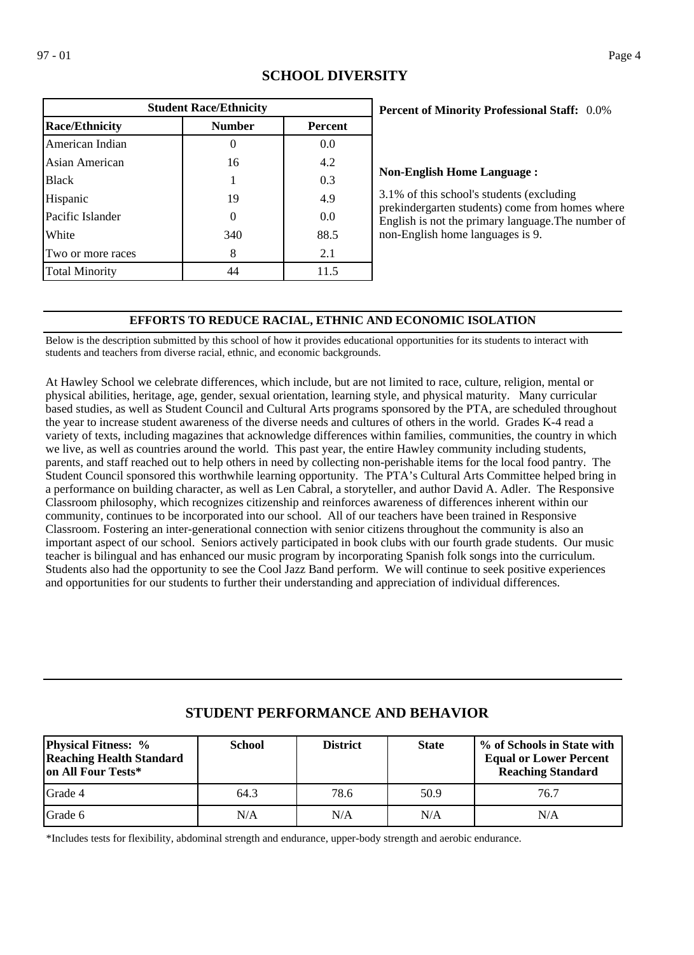| <b>Student Race/Ethnicity</b> |               |                |  |  |  |
|-------------------------------|---------------|----------------|--|--|--|
| <b>Race/Ethnicity</b>         | <b>Number</b> | <b>Percent</b> |  |  |  |
| American Indian               |               | 0.0            |  |  |  |
| Asian American                | 16            | 4.2            |  |  |  |
| <b>Black</b>                  |               | 0.3            |  |  |  |
| Hispanic                      | 19            | 4.9            |  |  |  |
| Pacific Islander              | ∩             | 0.0            |  |  |  |
| White                         | 340           | 88.5           |  |  |  |
| Two or more races             | 8             | 2.1            |  |  |  |
| <b>Total Minority</b>         | 44            | 11.5           |  |  |  |

# **SCHOOL DIVERSITY**

## 0.0% **Percent of Minority Professional Staff:**

#### **Non-English Home Language :**

3.1% of this school's students (excluding prekindergarten students) come from homes where English is not the primary language.The number of non-English home languages is 9.

## **EFFORTS TO REDUCE RACIAL, ETHNIC AND ECONOMIC ISOLATION**

Below is the description submitted by this school of how it provides educational opportunities for its students to interact with students and teachers from diverse racial, ethnic, and economic backgrounds.

At Hawley School we celebrate differences, which include, but are not limited to race, culture, religion, mental or physical abilities, heritage, age, gender, sexual orientation, learning style, and physical maturity. Many curricular based studies, as well as Student Council and Cultural Arts programs sponsored by the PTA, are scheduled throughout the year to increase student awareness of the diverse needs and cultures of others in the world. Grades K-4 read a variety of texts, including magazines that acknowledge differences within families, communities, the country in which we live, as well as countries around the world. This past year, the entire Hawley community including students, parents, and staff reached out to help others in need by collecting non-perishable items for the local food pantry. The Student Council sponsored this worthwhile learning opportunity. The PTA's Cultural Arts Committee helped bring in a performance on building character, as well as Len Cabral, a storyteller, and author David A. Adler. The Responsive Classroom philosophy, which recognizes citizenship and reinforces awareness of differences inherent within our community, continues to be incorporated into our school. All of our teachers have been trained in Responsive Classroom. Fostering an inter-generational connection with senior citizens throughout the community is also an important aspect of our school. Seniors actively participated in book clubs with our fourth grade students. Our music teacher is bilingual and has enhanced our music program by incorporating Spanish folk songs into the curriculum. Students also had the opportunity to see the Cool Jazz Band perform. We will continue to seek positive experiences and opportunities for our students to further their understanding and appreciation of individual differences.

| <b>Physical Fitness: %</b><br><b>Reaching Health Standard</b><br>on All Four Tests* | <b>School</b> | <b>District</b> | <b>State</b> | % of Schools in State with<br><b>Equal or Lower Percent</b><br><b>Reaching Standard</b> |
|-------------------------------------------------------------------------------------|---------------|-----------------|--------------|-----------------------------------------------------------------------------------------|
| Grade 4                                                                             | 64.3          | 78.6            | 50.9         | 76.7                                                                                    |
| <b>IGrade 6</b>                                                                     | N/A           | N/A             | N/A          | N/A                                                                                     |

# **STUDENT PERFORMANCE AND BEHAVIOR**

\*Includes tests for flexibility, abdominal strength and endurance, upper-body strength and aerobic endurance.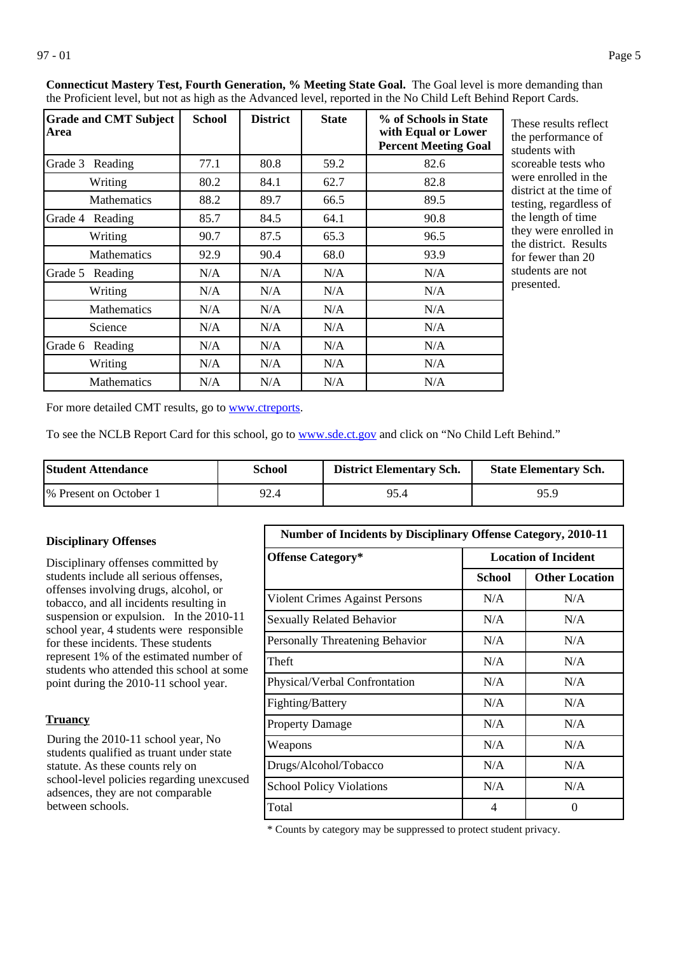| <b>Grade and CMT Subject</b><br>Area | <b>School</b> | <b>District</b> | <b>State</b> | % of Schools in State<br>with Equal or Lower<br><b>Percent Meeting Goal</b> | These results reflect<br>the performance of<br>students with |
|--------------------------------------|---------------|-----------------|--------------|-----------------------------------------------------------------------------|--------------------------------------------------------------|
| Grade 3 Reading                      | 77.1          | 80.8            | 59.2         | 82.6                                                                        | scoreable tests who                                          |
| Writing                              | 80.2          | 84.1            | 62.7         | 82.8                                                                        | were enrolled in the<br>district at the time of              |
| <b>Mathematics</b>                   | 88.2          | 89.7            | 66.5         | 89.5                                                                        | testing, regardless of                                       |
| Grade 4<br>Reading                   | 85.7          | 84.5            | 64.1         | 90.8                                                                        | the length of time                                           |
| Writing                              | 90.7          | 87.5            | 65.3         | 96.5                                                                        | they were enrolled in<br>the district. Results               |
| Mathematics                          | 92.9          | 90.4            | 68.0         | 93.9                                                                        | for fewer than 20                                            |
| Grade 5<br>Reading                   | N/A           | N/A             | N/A          | N/A                                                                         | students are not                                             |
| Writing                              | N/A           | N/A             | N/A          | N/A                                                                         | presented.                                                   |
| <b>Mathematics</b>                   | N/A           | N/A             | N/A          | N/A                                                                         |                                                              |
| Science                              | N/A           | N/A             | N/A          | N/A                                                                         |                                                              |
| Grade 6 Reading                      | N/A           | N/A             | N/A          | N/A                                                                         |                                                              |
| Writing                              | N/A           | N/A             | N/A          | N/A                                                                         |                                                              |
| <b>Mathematics</b>                   | N/A           | N/A             | N/A          | N/A                                                                         |                                                              |

**Connecticut Mastery Test, Fourth Generation, % Meeting State Goal.** The Goal level is more demanding than the Proficient level, but not as high as the Advanced level, reported in the No Child Left Behind Report Cards.

> he performance of tudents with coreable tests who were enrolled in the listrict at the time of esting, regardless of he length of time hey were enrolled in he district. Results or fewer than 20 tudents are not presented.

For more detailed CMT results, go to **[www.ctreports](http://www.ctreports/)**.

To see the NCLB Report Card for this school, go to [www.sde.ct.gov](http://www.sde.ct.gov/) and click on "No Child Left Behind."

| <b>Student Attendance</b> | School | <b>District Elementary Sch.</b> | <b>State Elementary Sch.</b> |
|---------------------------|--------|---------------------------------|------------------------------|
| 1\% Present on October 1  | 92.4   | 95.4                            | 95.9                         |

#### **Disciplinary Offenses**

Disciplinary offenses committed by students include all serious offenses, offenses involving drugs, alcohol, or tobacco, and all incidents resulting in suspension or expulsion. In the 2010-11 school year, 4 students were responsible for these incidents. These students represent 1% of the estimated number of students who attended this school at some point during the 2010-11 school year.

### **Truancy**

During the 2010-11 school year, No students qualified as truant under state statute. As these counts rely on school-level policies regarding unexcused adsences, they are not comparable between schools.

| Number of Incidents by Disciplinary Offense Category, 2010-11 |                             |                       |
|---------------------------------------------------------------|-----------------------------|-----------------------|
| <b>Offense Category*</b>                                      | <b>Location of Incident</b> |                       |
|                                                               | School                      | <b>Other Location</b> |
| Violent Crimes Against Persons                                | N/A                         | N/A                   |
| <b>Sexually Related Behavior</b>                              | N/A                         | N/A                   |
| Personally Threatening Behavior                               | N/A                         | N/A                   |
| Theft                                                         | N/A                         | N/A                   |
| Physical/Verbal Confrontation                                 | N/A                         | N/A                   |
| Fighting/Battery                                              | N/A                         | N/A                   |
| <b>Property Damage</b>                                        | N/A                         | N/A                   |
| Weapons                                                       | N/A                         | N/A                   |
| Drugs/Alcohol/Tobacco                                         | N/A                         | N/A                   |
| <b>School Policy Violations</b>                               | N/A                         | N/A                   |
| Total                                                         | 4                           | 0                     |

\* Counts by category may be suppressed to protect student privacy.